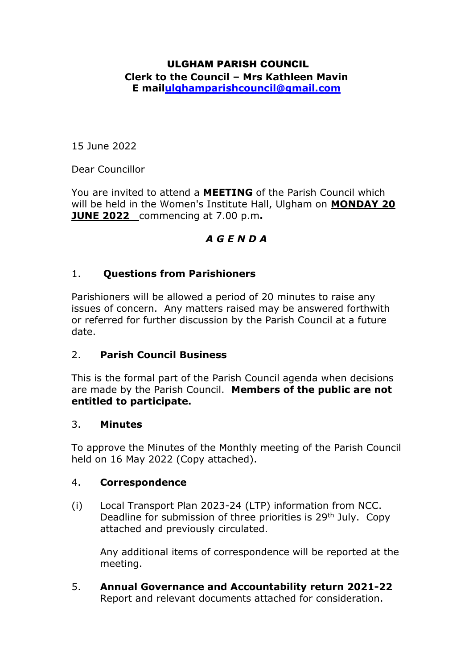#### ULGHAM PARISH COUNCIL **Clerk to the Council – Mrs Kathleen Mavin E mai[lulghamparishcouncil@gmail.com](mailto:ulghamparishcouncil@gmail.com)**

15 June 2022

Dear Councillor

You are invited to attend a **MEETING** of the Parish Council which will be held in the Women's Institute Hall, Ulgham on **MONDAY 20 JUNE 2022** commencing at 7.00 p.m**.**

# *A G E N D A*

## 1. **Questions from Parishioners**

Parishioners will be allowed a period of 20 minutes to raise any issues of concern. Any matters raised may be answered forthwith or referred for further discussion by the Parish Council at a future date.

## 2. **Parish Council Business**

This is the formal part of the Parish Council agenda when decisions are made by the Parish Council. **Members of the public are not entitled to participate.**

#### 3. **Minutes**

To approve the Minutes of the Monthly meeting of the Parish Council held on 16 May 2022 (Copy attached).

#### 4. **Correspondence**

(i) Local Transport Plan 2023-24 (LTP) information from NCC. Deadline for submission of three priorities is 29<sup>th</sup> July. Copy attached and previously circulated.

Any additional items of correspondence will be reported at the meeting.

5. **Annual Governance and Accountability return 2021-22** Report and relevant documents attached for consideration.